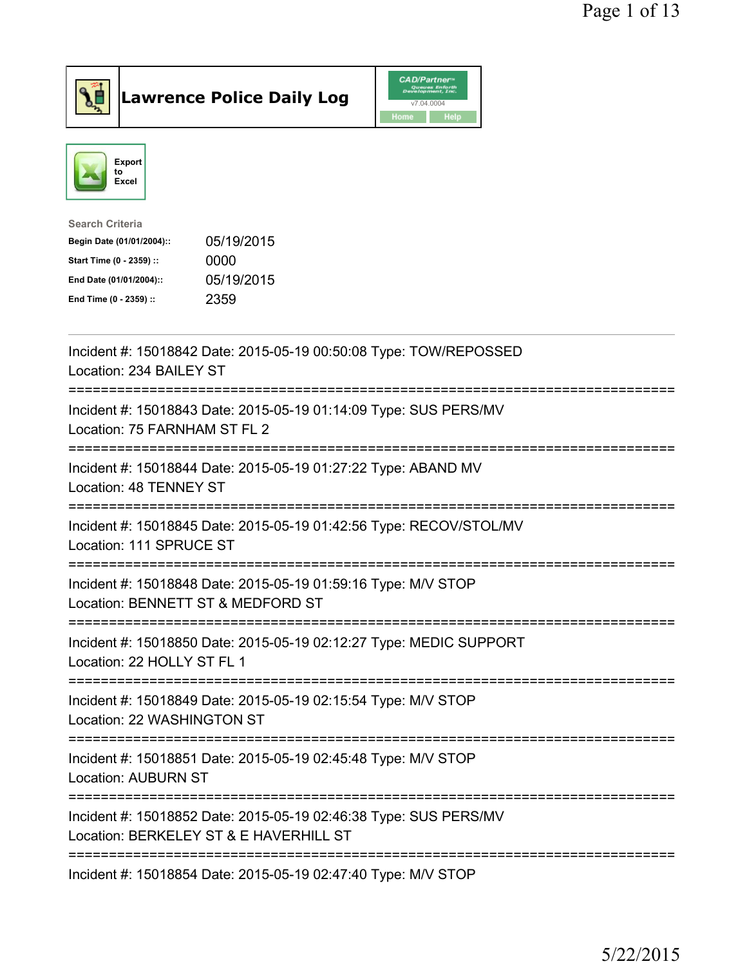





| <b>Search Criteria</b>    |            |
|---------------------------|------------|
| Begin Date (01/01/2004):: | 05/19/2015 |
| Start Time (0 - 2359) ::  | 0000       |
| End Date (01/01/2004)::   | 05/19/2015 |
| End Time (0 - 2359) ::    | 2359       |
|                           |            |

| Incident #: 15018842 Date: 2015-05-19 00:50:08 Type: TOW/REPOSSED<br>Location: 234 BAILEY ST                                           |
|----------------------------------------------------------------------------------------------------------------------------------------|
| Incident #: 15018843 Date: 2015-05-19 01:14:09 Type: SUS PERS/MV<br>Location: 75 FARNHAM ST FL 2                                       |
| Incident #: 15018844 Date: 2015-05-19 01:27:22 Type: ABAND MV<br>Location: 48 TENNEY ST                                                |
| Incident #: 15018845 Date: 2015-05-19 01:42:56 Type: RECOV/STOL/MV<br>Location: 111 SPRUCE ST<br>---------------<br>------------------ |
| Incident #: 15018848 Date: 2015-05-19 01:59:16 Type: M/V STOP<br>Location: BENNETT ST & MEDFORD ST<br>:============================    |
| Incident #: 15018850 Date: 2015-05-19 02:12:27 Type: MEDIC SUPPORT<br>Location: 22 HOLLY ST FL 1                                       |
| Incident #: 15018849 Date: 2015-05-19 02:15:54 Type: M/V STOP<br>Location: 22 WASHINGTON ST                                            |
| Incident #: 15018851 Date: 2015-05-19 02:45:48 Type: M/V STOP<br><b>Location: AUBURN ST</b>                                            |
| Incident #: 15018852 Date: 2015-05-19 02:46:38 Type: SUS PERS/MV<br>Location: BERKELEY ST & E HAVERHILL ST                             |
| ==================================<br>------------------------<br>Incident #: 15018854 Date: 2015-05-19 02:47:40 Type: M/V STOP        |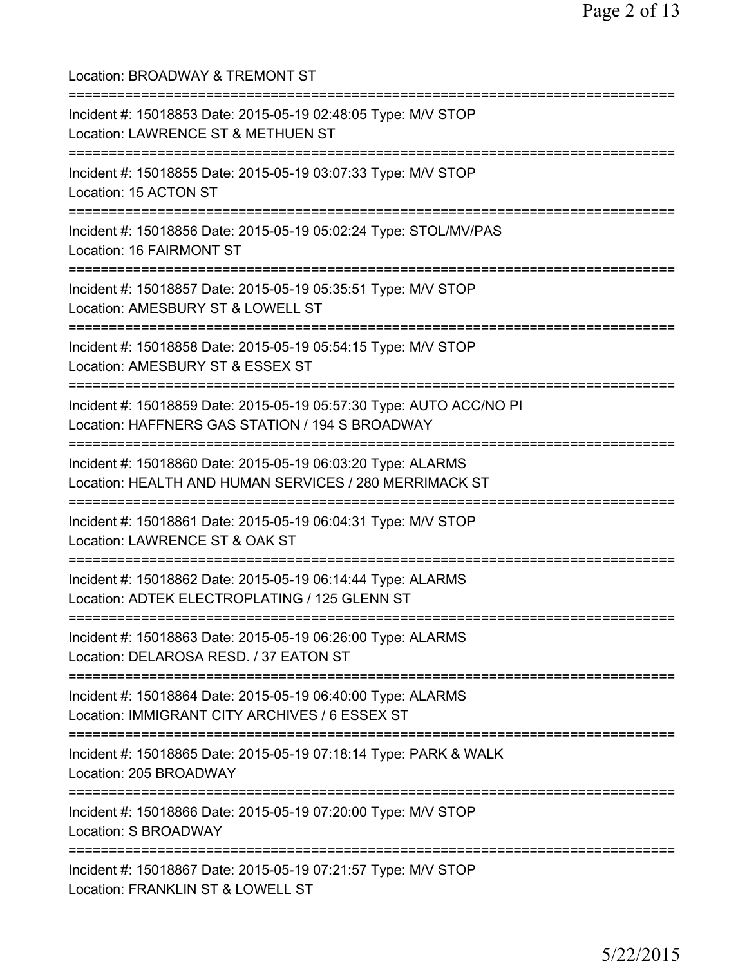| Location: BROADWAY & TREMONT ST                                                                                                          |
|------------------------------------------------------------------------------------------------------------------------------------------|
| Incident #: 15018853 Date: 2015-05-19 02:48:05 Type: M/V STOP<br>Location: LAWRENCE ST & METHUEN ST<br>======================            |
| Incident #: 15018855 Date: 2015-05-19 03:07:33 Type: M/V STOP<br>Location: 15 ACTON ST                                                   |
| Incident #: 15018856 Date: 2015-05-19 05:02:24 Type: STOL/MV/PAS<br>Location: 16 FAIRMONT ST                                             |
| Incident #: 15018857 Date: 2015-05-19 05:35:51 Type: M/V STOP<br>Location: AMESBURY ST & LOWELL ST                                       |
| Incident #: 15018858 Date: 2015-05-19 05:54:15 Type: M/V STOP<br>Location: AMESBURY ST & ESSEX ST                                        |
| Incident #: 15018859 Date: 2015-05-19 05:57:30 Type: AUTO ACC/NO PI<br>Location: HAFFNERS GAS STATION / 194 S BROADWAY                   |
| Incident #: 15018860 Date: 2015-05-19 06:03:20 Type: ALARMS<br>Location: HEALTH AND HUMAN SERVICES / 280 MERRIMACK ST                    |
| Incident #: 15018861 Date: 2015-05-19 06:04:31 Type: M/V STOP<br>Location: LAWRENCE ST & OAK ST                                          |
| ========================<br>Incident #: 15018862 Date: 2015-05-19 06:14:44 Type: ALARMS<br>Location: ADTEK ELECTROPLATING / 125 GLENN ST |
| Incident #: 15018863 Date: 2015-05-19 06:26:00 Type: ALARMS<br>Location: DELAROSA RESD. / 37 EATON ST                                    |
| Incident #: 15018864 Date: 2015-05-19 06:40:00 Type: ALARMS<br>Location: IMMIGRANT CITY ARCHIVES / 6 ESSEX ST                            |
| Incident #: 15018865 Date: 2015-05-19 07:18:14 Type: PARK & WALK<br>Location: 205 BROADWAY                                               |
| ========<br>Incident #: 15018866 Date: 2015-05-19 07:20:00 Type: M/V STOP<br>Location: S BROADWAY                                        |
| Incident #: 15018867 Date: 2015-05-19 07:21:57 Type: M/V STOP<br>Location: FRANKLIN ST & LOWELL ST                                       |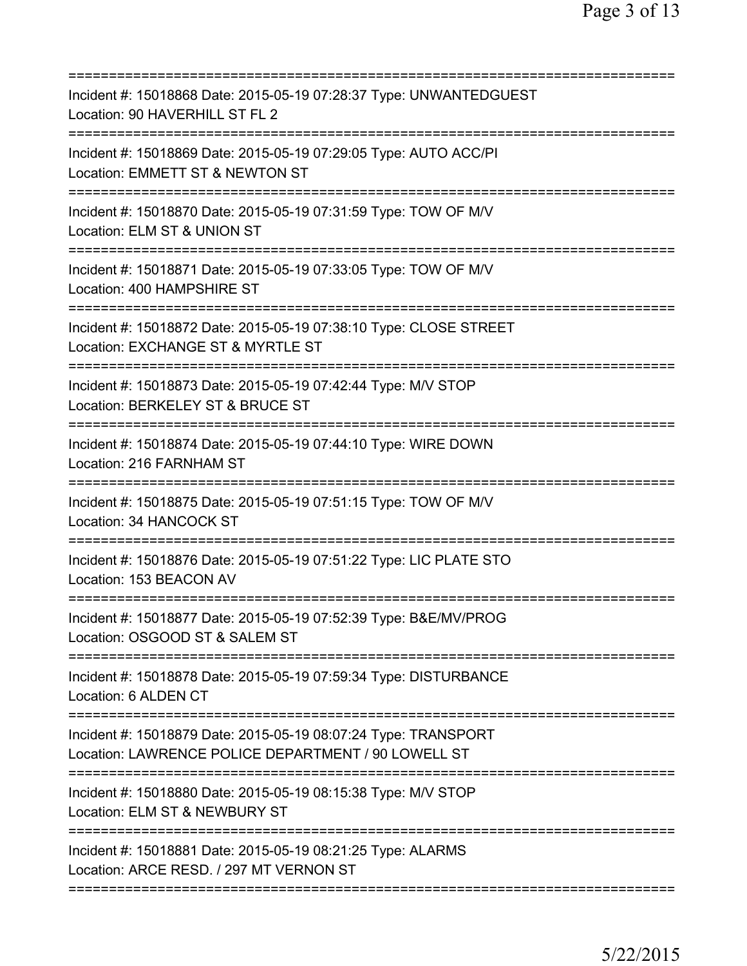| Incident #: 15018868 Date: 2015-05-19 07:28:37 Type: UNWANTEDGUEST<br>Location: 90 HAVERHILL ST FL 2                                           |
|------------------------------------------------------------------------------------------------------------------------------------------------|
| Incident #: 15018869 Date: 2015-05-19 07:29:05 Type: AUTO ACC/PI<br>Location: EMMETT ST & NEWTON ST                                            |
| Incident #: 15018870 Date: 2015-05-19 07:31:59 Type: TOW OF M/V<br>Location: ELM ST & UNION ST                                                 |
| Incident #: 15018871 Date: 2015-05-19 07:33:05 Type: TOW OF M/V<br>Location: 400 HAMPSHIRE ST                                                  |
| ====================================<br>Incident #: 15018872 Date: 2015-05-19 07:38:10 Type: CLOSE STREET<br>Location: EXCHANGE ST & MYRTLE ST |
| Incident #: 15018873 Date: 2015-05-19 07:42:44 Type: M/V STOP<br>Location: BERKELEY ST & BRUCE ST                                              |
| Incident #: 15018874 Date: 2015-05-19 07:44:10 Type: WIRE DOWN<br>Location: 216 FARNHAM ST                                                     |
| Incident #: 15018875 Date: 2015-05-19 07:51:15 Type: TOW OF M/V<br>Location: 34 HANCOCK ST                                                     |
| Incident #: 15018876 Date: 2015-05-19 07:51:22 Type: LIC PLATE STO<br>Location: 153 BEACON AV                                                  |
| Incident #: 15018877 Date: 2015-05-19 07:52:39 Type: B&E/MV/PROG<br>Location: OSGOOD ST & SALEM ST                                             |
| ============================<br>Incident #: 15018878 Date: 2015-05-19 07:59:34 Type: DISTURBANCE<br>Location: 6 ALDEN CT                       |
| Incident #: 15018879 Date: 2015-05-19 08:07:24 Type: TRANSPORT<br>Location: LAWRENCE POLICE DEPARTMENT / 90 LOWELL ST                          |
| Incident #: 15018880 Date: 2015-05-19 08:15:38 Type: M/V STOP<br>Location: ELM ST & NEWBURY ST                                                 |
| Incident #: 15018881 Date: 2015-05-19 08:21:25 Type: ALARMS<br>Location: ARCE RESD. / 297 MT VERNON ST                                         |
|                                                                                                                                                |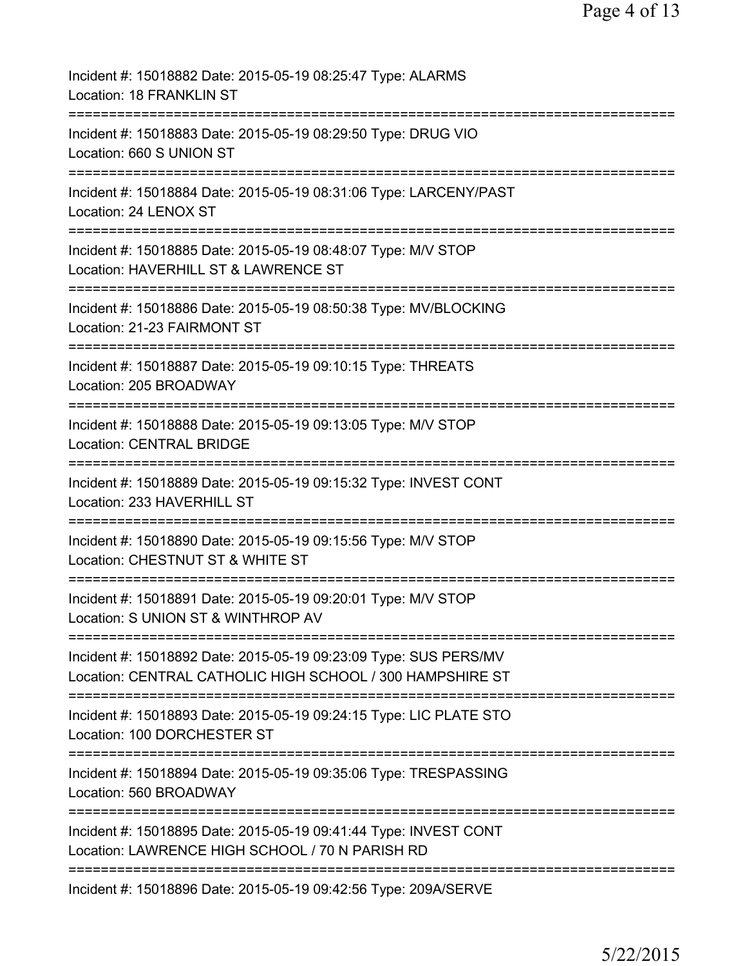| Incident #: 15018882 Date: 2015-05-19 08:25:47 Type: ALARMS<br>Location: 18 FRANKLIN ST                                                   |
|-------------------------------------------------------------------------------------------------------------------------------------------|
| Incident #: 15018883 Date: 2015-05-19 08:29:50 Type: DRUG VIO<br>Location: 660 S UNION ST                                                 |
| Incident #: 15018884 Date: 2015-05-19 08:31:06 Type: LARCENY/PAST<br>Location: 24 LENOX ST                                                |
| Incident #: 15018885 Date: 2015-05-19 08:48:07 Type: M/V STOP<br>Location: HAVERHILL ST & LAWRENCE ST                                     |
| Incident #: 15018886 Date: 2015-05-19 08:50:38 Type: MV/BLOCKING<br>Location: 21-23 FAIRMONT ST                                           |
| Incident #: 15018887 Date: 2015-05-19 09:10:15 Type: THREATS<br>Location: 205 BROADWAY                                                    |
| Incident #: 15018888 Date: 2015-05-19 09:13:05 Type: M/V STOP<br><b>Location: CENTRAL BRIDGE</b><br>:==================================== |
| Incident #: 15018889 Date: 2015-05-19 09:15:32 Type: INVEST CONT<br>Location: 233 HAVERHILL ST                                            |
| Incident #: 15018890 Date: 2015-05-19 09:15:56 Type: M/V STOP<br>Location: CHESTNUT ST & WHITE ST                                         |
| Incident #: 15018891 Date: 2015-05-19 09:20:01 Type: M/V STOP<br>Location: S UNION ST & WINTHROP AV                                       |
| Incident #: 15018892 Date: 2015-05-19 09:23:09 Type: SUS PERS/MV<br>Location: CENTRAL CATHOLIC HIGH SCHOOL / 300 HAMPSHIRE ST             |
| :=====================<br>Incident #: 15018893 Date: 2015-05-19 09:24:15 Type: LIC PLATE STO<br>Location: 100 DORCHESTER ST               |
| Incident #: 15018894 Date: 2015-05-19 09:35:06 Type: TRESPASSING<br>Location: 560 BROADWAY                                                |
| Incident #: 15018895 Date: 2015-05-19 09:41:44 Type: INVEST CONT<br>Location: LAWRENCE HIGH SCHOOL / 70 N PARISH RD                       |
| ===================<br>Incident #: 15018896 Date: 2015-05-19 09:42:56 Type: 209A/SERVE                                                    |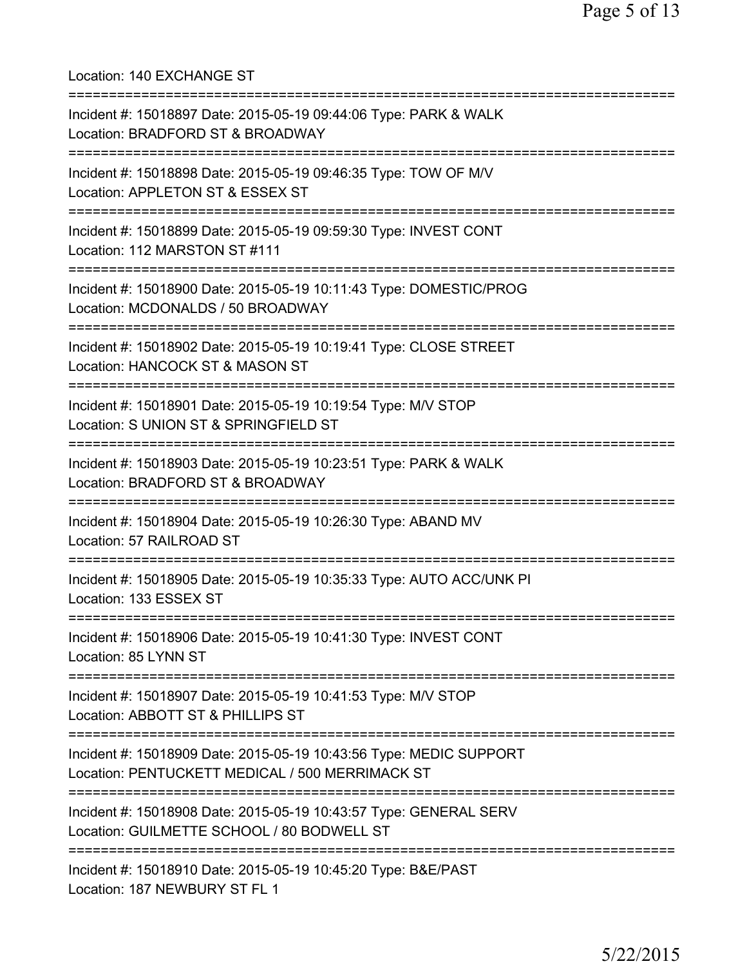Location: 140 EXCHANGE ST =========================================================================== Incident #: 15018897 Date: 2015-05-19 09:44:06 Type: PARK & WALK Location: BRADFORD ST & BROADWAY =========================================================================== Incident #: 15018898 Date: 2015-05-19 09:46:35 Type: TOW OF M/V Location: APPLETON ST & ESSEX ST =========================================================================== Incident #: 15018899 Date: 2015-05-19 09:59:30 Type: INVEST CONT Location: 112 MARSTON ST #111 =========================================================================== Incident #: 15018900 Date: 2015-05-19 10:11:43 Type: DOMESTIC/PROG Location: MCDONALDS / 50 BROADWAY =========================================================================== Incident #: 15018902 Date: 2015-05-19 10:19:41 Type: CLOSE STREET Location: HANCOCK ST & MASON ST =========================================================================== Incident #: 15018901 Date: 2015-05-19 10:19:54 Type: M/V STOP Location: S UNION ST & SPRINGFIELD ST =========================================================================== Incident #: 15018903 Date: 2015-05-19 10:23:51 Type: PARK & WALK Location: BRADFORD ST & BROADWAY =========================================================================== Incident #: 15018904 Date: 2015-05-19 10:26:30 Type: ABAND MV Location: 57 RAILROAD ST =========================================================================== Incident #: 15018905 Date: 2015-05-19 10:35:33 Type: AUTO ACC/UNK PI Location: 133 ESSEX ST =========================================================================== Incident #: 15018906 Date: 2015-05-19 10:41:30 Type: INVEST CONT Location: 85 LYNN ST =========================================================================== Incident #: 15018907 Date: 2015-05-19 10:41:53 Type: M/V STOP Location: ABBOTT ST & PHILLIPS ST =========================================================================== Incident #: 15018909 Date: 2015-05-19 10:43:56 Type: MEDIC SUPPORT Location: PENTUCKETT MEDICAL / 500 MERRIMACK ST =========================================================================== Incident #: 15018908 Date: 2015-05-19 10:43:57 Type: GENERAL SERV Location: GUILMETTE SCHOOL / 80 BODWELL ST =========================================================================== Incident #: 15018910 Date: 2015-05-19 10:45:20 Type: B&E/PAST Location: 187 NEWBURY ST FL 1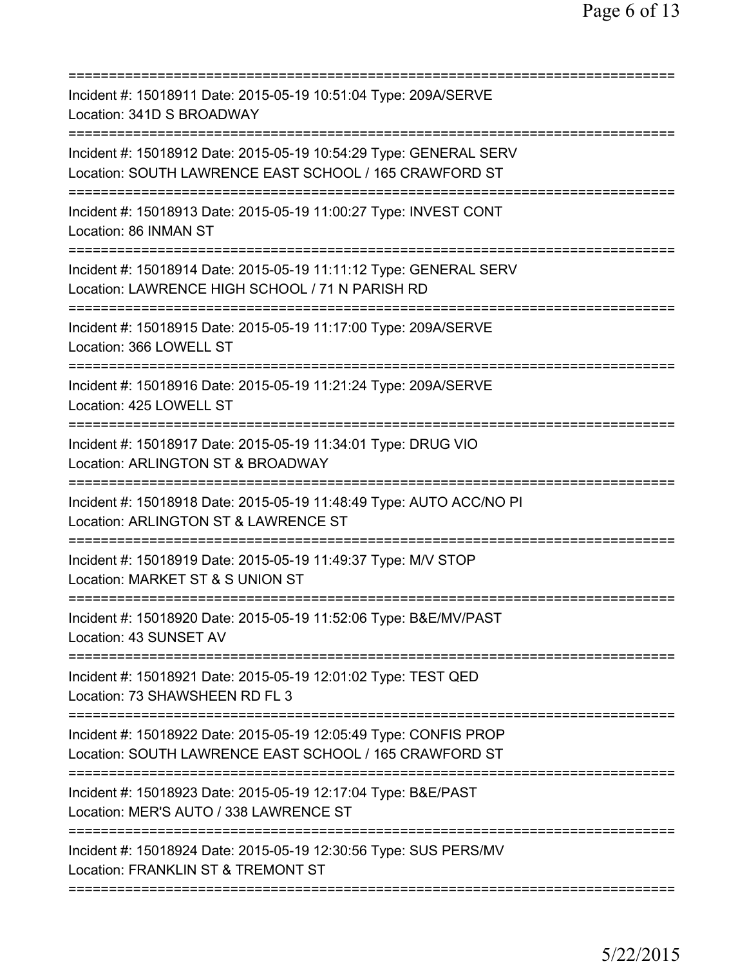| Incident #: 15018911 Date: 2015-05-19 10:51:04 Type: 209A/SERVE<br>Location: 341D S BROADWAY                                        |
|-------------------------------------------------------------------------------------------------------------------------------------|
| Incident #: 15018912 Date: 2015-05-19 10:54:29 Type: GENERAL SERV<br>Location: SOUTH LAWRENCE EAST SCHOOL / 165 CRAWFORD ST         |
| Incident #: 15018913 Date: 2015-05-19 11:00:27 Type: INVEST CONT<br>Location: 86 INMAN ST                                           |
| Incident #: 15018914 Date: 2015-05-19 11:11:12 Type: GENERAL SERV<br>Location: LAWRENCE HIGH SCHOOL / 71 N PARISH RD                |
| Incident #: 15018915 Date: 2015-05-19 11:17:00 Type: 209A/SERVE<br>Location: 366 LOWELL ST                                          |
| =====================================<br>Incident #: 15018916 Date: 2015-05-19 11:21:24 Type: 209A/SERVE<br>Location: 425 LOWELL ST |
| Incident #: 15018917 Date: 2015-05-19 11:34:01 Type: DRUG VIO<br>Location: ARLINGTON ST & BROADWAY                                  |
| Incident #: 15018918 Date: 2015-05-19 11:48:49 Type: AUTO ACC/NO PI<br>Location: ARLINGTON ST & LAWRENCE ST                         |
| Incident #: 15018919 Date: 2015-05-19 11:49:37 Type: M/V STOP<br>Location: MARKET ST & S UNION ST                                   |
| Incident #: 15018920 Date: 2015-05-19 11:52:06 Type: B&E/MV/PAST<br>Location: 43 SUNSET AV                                          |
| Incident #: 15018921 Date: 2015-05-19 12:01:02 Type: TEST QED<br>Location: 73 SHAWSHEEN RD FL 3<br>===========================      |
| Incident #: 15018922 Date: 2015-05-19 12:05:49 Type: CONFIS PROP<br>Location: SOUTH LAWRENCE EAST SCHOOL / 165 CRAWFORD ST          |
| Incident #: 15018923 Date: 2015-05-19 12:17:04 Type: B&E/PAST<br>Location: MER'S AUTO / 338 LAWRENCE ST                             |
| Incident #: 15018924 Date: 2015-05-19 12:30:56 Type: SUS PERS/MV<br>Location: FRANKLIN ST & TREMONT ST                              |
|                                                                                                                                     |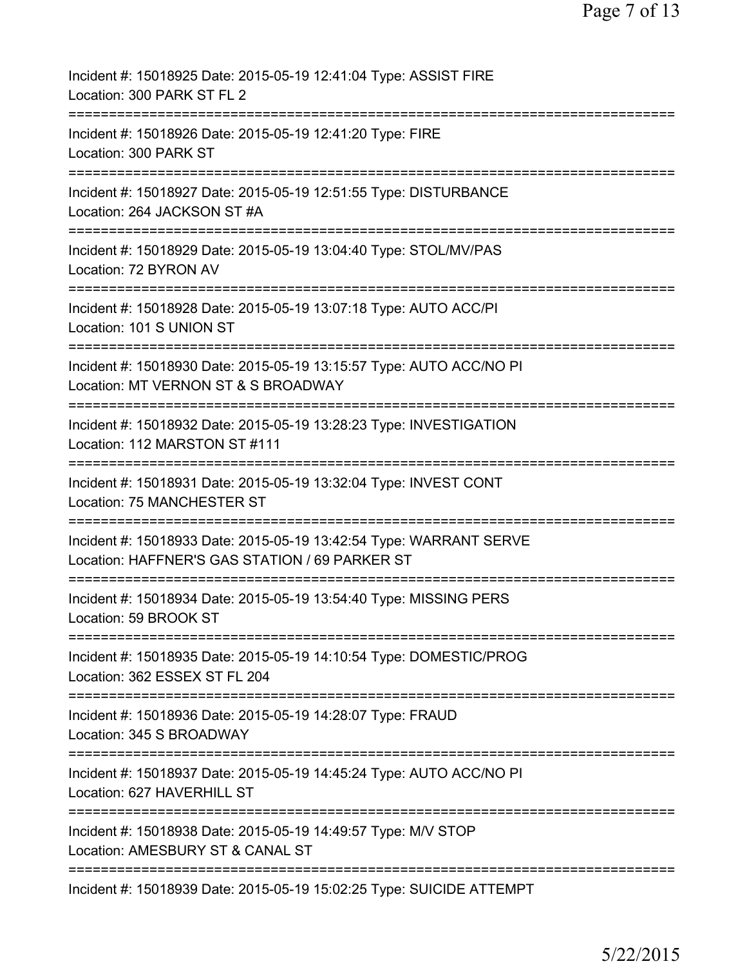| Incident #: 15018925 Date: 2015-05-19 12:41:04 Type: ASSIST FIRE<br>Location: 300 PARK ST FL 2                       |
|----------------------------------------------------------------------------------------------------------------------|
| ====================<br>Incident #: 15018926 Date: 2015-05-19 12:41:20 Type: FIRE<br>Location: 300 PARK ST           |
| Incident #: 15018927 Date: 2015-05-19 12:51:55 Type: DISTURBANCE<br>Location: 264 JACKSON ST #A                      |
| Incident #: 15018929 Date: 2015-05-19 13:04:40 Type: STOL/MV/PAS<br>Location: 72 BYRON AV                            |
| Incident #: 15018928 Date: 2015-05-19 13:07:18 Type: AUTO ACC/PI<br>Location: 101 S UNION ST                         |
| Incident #: 15018930 Date: 2015-05-19 13:15:57 Type: AUTO ACC/NO PI<br>Location: MT VERNON ST & S BROADWAY           |
| Incident #: 15018932 Date: 2015-05-19 13:28:23 Type: INVESTIGATION<br>Location: 112 MARSTON ST #111                  |
| Incident #: 15018931 Date: 2015-05-19 13:32:04 Type: INVEST CONT<br>Location: 75 MANCHESTER ST                       |
| Incident #: 15018933 Date: 2015-05-19 13:42:54 Type: WARRANT SERVE<br>Location: HAFFNER'S GAS STATION / 69 PARKER ST |
| Incident #: 15018934 Date: 2015-05-19 13:54:40 Type: MISSING PERS<br>Location: 59 BROOK ST                           |
| Incident #: 15018935 Date: 2015-05-19 14:10:54 Type: DOMESTIC/PROG<br>Location: 362 ESSEX ST FL 204                  |
| Incident #: 15018936 Date: 2015-05-19 14:28:07 Type: FRAUD<br>Location: 345 S BROADWAY                               |
| Incident #: 15018937 Date: 2015-05-19 14:45:24 Type: AUTO ACC/NO PI<br>Location: 627 HAVERHILL ST                    |
| Incident #: 15018938 Date: 2015-05-19 14:49:57 Type: M/V STOP<br>Location: AMESBURY ST & CANAL ST                    |
| Incident #: 15018939 Date: 2015-05-19 15:02:25 Type: SUICIDE ATTEMPT                                                 |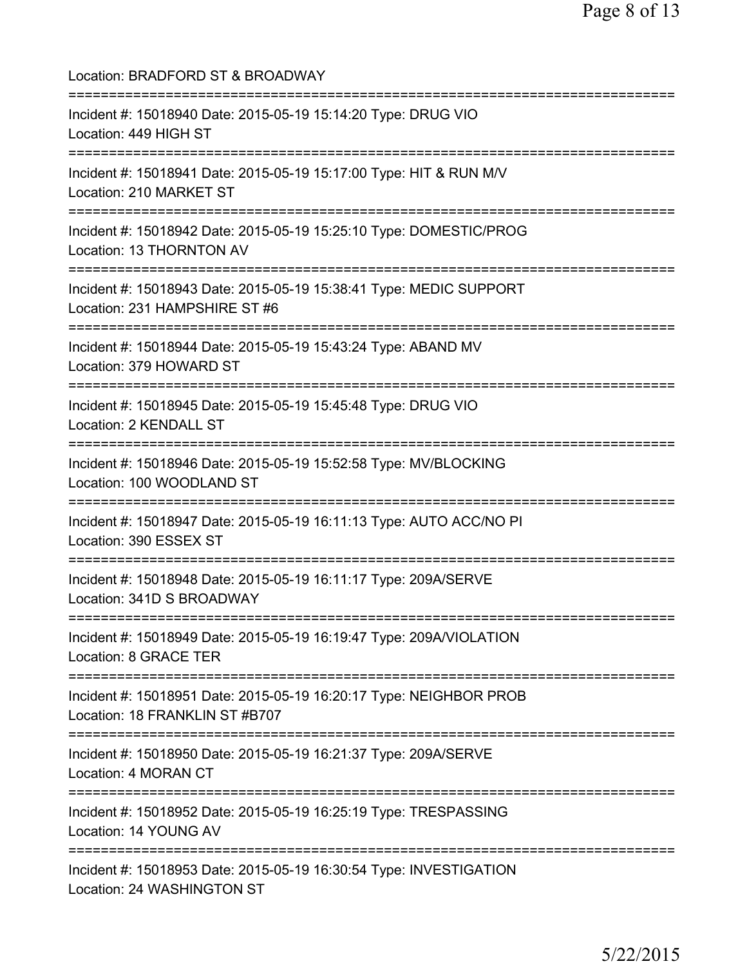| Location: BRADFORD ST & BROADWAY                                                                                                                                      |
|-----------------------------------------------------------------------------------------------------------------------------------------------------------------------|
| Incident #: 15018940 Date: 2015-05-19 15:14:20 Type: DRUG VIO<br>Location: 449 HIGH ST<br>======================                                                      |
| Incident #: 15018941 Date: 2015-05-19 15:17:00 Type: HIT & RUN M/V<br>Location: 210 MARKET ST                                                                         |
| Incident #: 15018942 Date: 2015-05-19 15:25:10 Type: DOMESTIC/PROG<br>Location: 13 THORNTON AV<br>;===============================                                    |
| Incident #: 15018943 Date: 2015-05-19 15:38:41 Type: MEDIC SUPPORT<br>Location: 231 HAMPSHIRE ST #6                                                                   |
| ===================================<br>Incident #: 15018944 Date: 2015-05-19 15:43:24 Type: ABAND MV<br>Location: 379 HOWARD ST<br>================================== |
| Incident #: 15018945 Date: 2015-05-19 15:45:48 Type: DRUG VIO<br>Location: 2 KENDALL ST                                                                               |
| Incident #: 15018946 Date: 2015-05-19 15:52:58 Type: MV/BLOCKING<br>Location: 100 WOODLAND ST                                                                         |
| Incident #: 15018947 Date: 2015-05-19 16:11:13 Type: AUTO ACC/NO PI<br>Location: 390 ESSEX ST                                                                         |
| Incident #: 15018948 Date: 2015-05-19 16:11:17 Type: 209A/SERVE<br>Location: 341D S BROADWAY                                                                          |
| Incident #: 15018949 Date: 2015-05-19 16:19:47 Type: 209A/VIOLATION<br>Location: 8 GRACE TER                                                                          |
| Incident #: 15018951 Date: 2015-05-19 16:20:17 Type: NEIGHBOR PROB<br>Location: 18 FRANKLIN ST #B707                                                                  |
| Incident #: 15018950 Date: 2015-05-19 16:21:37 Type: 209A/SERVE<br>Location: 4 MORAN CT                                                                               |
| ;===================================<br>Incident #: 15018952 Date: 2015-05-19 16:25:19 Type: TRESPASSING<br>Location: 14 YOUNG AV                                     |
| Incident #: 15018953 Date: 2015-05-19 16:30:54 Type: INVESTIGATION<br>Location: 24 WASHINGTON ST                                                                      |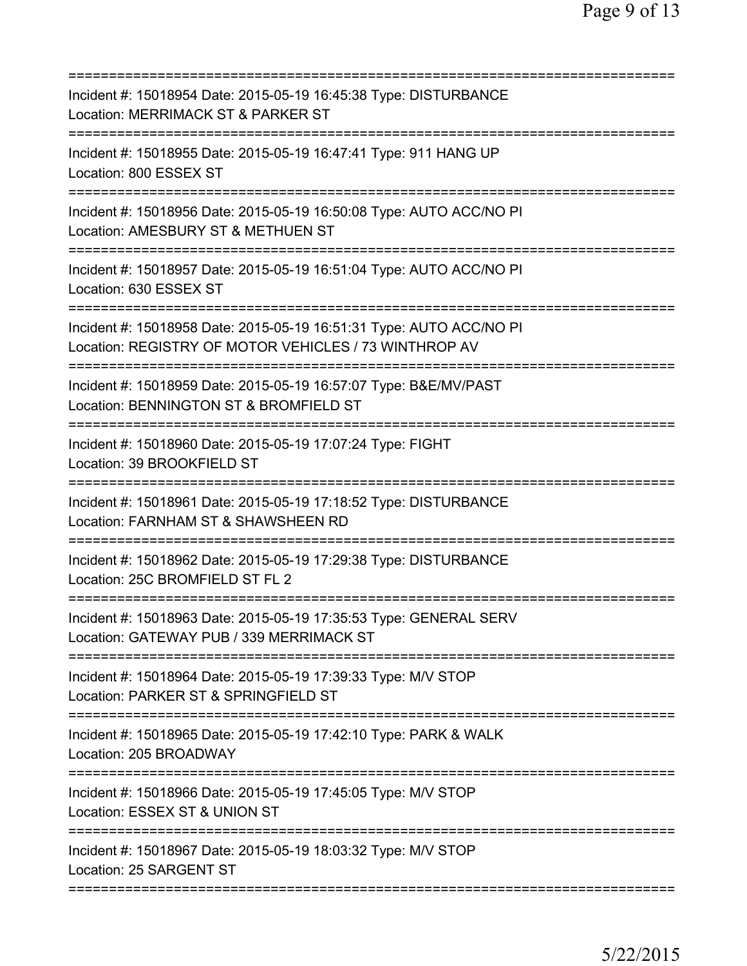| Incident #: 15018954 Date: 2015-05-19 16:45:38 Type: DISTURBANCE<br>Location: MERRIMACK ST & PARKER ST                                    |
|-------------------------------------------------------------------------------------------------------------------------------------------|
| Incident #: 15018955 Date: 2015-05-19 16:47:41 Type: 911 HANG UP<br>Location: 800 ESSEX ST                                                |
| Incident #: 15018956 Date: 2015-05-19 16:50:08 Type: AUTO ACC/NO PI<br>Location: AMESBURY ST & METHUEN ST                                 |
| Incident #: 15018957 Date: 2015-05-19 16:51:04 Type: AUTO ACC/NO PI<br>Location: 630 ESSEX ST                                             |
| Incident #: 15018958 Date: 2015-05-19 16:51:31 Type: AUTO ACC/NO PI<br>Location: REGISTRY OF MOTOR VEHICLES / 73 WINTHROP AV              |
| Incident #: 15018959 Date: 2015-05-19 16:57:07 Type: B&E/MV/PAST<br>Location: BENNINGTON ST & BROMFIELD ST<br>=========================== |
| Incident #: 15018960 Date: 2015-05-19 17:07:24 Type: FIGHT<br>Location: 39 BROOKFIELD ST<br>=========                                     |
| Incident #: 15018961 Date: 2015-05-19 17:18:52 Type: DISTURBANCE<br>Location: FARNHAM ST & SHAWSHEEN RD                                   |
| Incident #: 15018962 Date: 2015-05-19 17:29:38 Type: DISTURBANCE<br>Location: 25C BROMFIELD ST FL 2                                       |
| Incident #: 15018963 Date: 2015-05-19 17:35:53 Type: GENERAL SERV<br>Location: GATEWAY PUB / 339 MERRIMACK ST                             |
| Incident #: 15018964 Date: 2015-05-19 17:39:33 Type: M/V STOP<br>Location: PARKER ST & SPRINGFIELD ST                                     |
| Incident #: 15018965 Date: 2015-05-19 17:42:10 Type: PARK & WALK<br>Location: 205 BROADWAY                                                |
| ============================<br>Incident #: 15018966 Date: 2015-05-19 17:45:05 Type: M/V STOP<br>Location: ESSEX ST & UNION ST            |
| Incident #: 15018967 Date: 2015-05-19 18:03:32 Type: M/V STOP<br>Location: 25 SARGENT ST                                                  |
|                                                                                                                                           |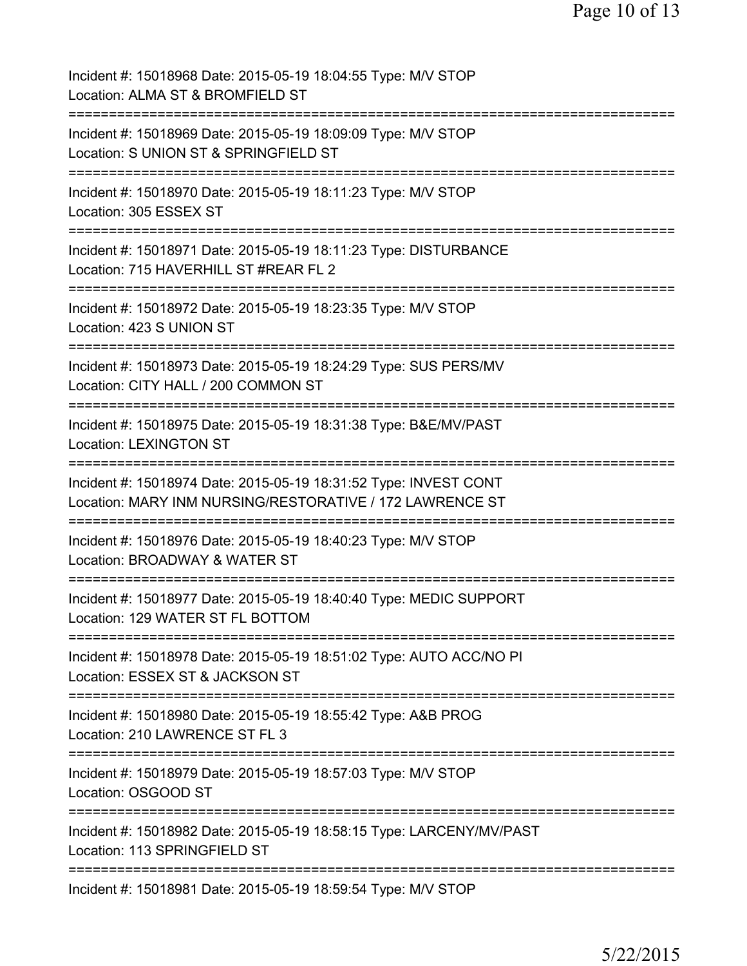| Incident #: 15018968 Date: 2015-05-19 18:04:55 Type: M/V STOP<br>Location: ALMA ST & BROMFIELD ST                            |
|------------------------------------------------------------------------------------------------------------------------------|
| Incident #: 15018969 Date: 2015-05-19 18:09:09 Type: M/V STOP<br>Location: S UNION ST & SPRINGFIELD ST                       |
| Incident #: 15018970 Date: 2015-05-19 18:11:23 Type: M/V STOP<br>Location: 305 ESSEX ST                                      |
| Incident #: 15018971 Date: 2015-05-19 18:11:23 Type: DISTURBANCE<br>Location: 715 HAVERHILL ST #REAR FL 2                    |
| Incident #: 15018972 Date: 2015-05-19 18:23:35 Type: M/V STOP<br>Location: 423 S UNION ST                                    |
| Incident #: 15018973 Date: 2015-05-19 18:24:29 Type: SUS PERS/MV<br>Location: CITY HALL / 200 COMMON ST                      |
| Incident #: 15018975 Date: 2015-05-19 18:31:38 Type: B&E/MV/PAST<br><b>Location: LEXINGTON ST</b>                            |
| Incident #: 15018974 Date: 2015-05-19 18:31:52 Type: INVEST CONT<br>Location: MARY INM NURSING/RESTORATIVE / 172 LAWRENCE ST |
| Incident #: 15018976 Date: 2015-05-19 18:40:23 Type: M/V STOP<br>Location: BROADWAY & WATER ST                               |
| Incident #: 15018977 Date: 2015-05-19 18:40:40 Type: MEDIC SUPPORT<br>Location: 129 WATER ST FL BOTTOM                       |
| Incident #: 15018978 Date: 2015-05-19 18:51:02 Type: AUTO ACC/NO PI<br>Location: ESSEX ST & JACKSON ST                       |
| Incident #: 15018980 Date: 2015-05-19 18:55:42 Type: A&B PROG<br>Location: 210 LAWRENCE ST FL 3                              |
| Incident #: 15018979 Date: 2015-05-19 18:57:03 Type: M/V STOP<br>Location: OSGOOD ST                                         |
| Incident #: 15018982 Date: 2015-05-19 18:58:15 Type: LARCENY/MV/PAST<br>Location: 113 SPRINGFIELD ST                         |
| =============<br>Incident #: 15018981 Date: 2015-05-19 18:59:54 Type: M/V STOP                                               |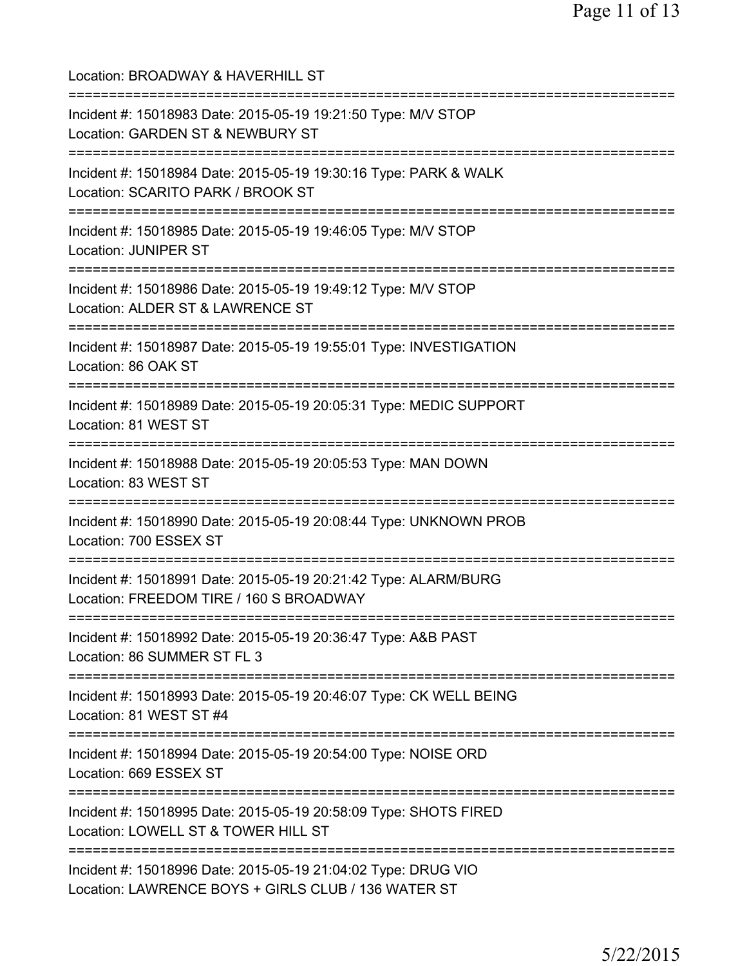| Location: BROADWAY & HAVERHILL ST                                                                                                             |
|-----------------------------------------------------------------------------------------------------------------------------------------------|
| Incident #: 15018983 Date: 2015-05-19 19:21:50 Type: M/V STOP<br>Location: GARDEN ST & NEWBURY ST<br>=====================================    |
| Incident #: 15018984 Date: 2015-05-19 19:30:16 Type: PARK & WALK<br>Location: SCARITO PARK / BROOK ST<br>==================================== |
| Incident #: 15018985 Date: 2015-05-19 19:46:05 Type: M/V STOP<br><b>Location: JUNIPER ST</b><br>===============================               |
| Incident #: 15018986 Date: 2015-05-19 19:49:12 Type: M/V STOP<br>Location: ALDER ST & LAWRENCE ST                                             |
| Incident #: 15018987 Date: 2015-05-19 19:55:01 Type: INVESTIGATION<br>Location: 86 OAK ST                                                     |
| Incident #: 15018989 Date: 2015-05-19 20:05:31 Type: MEDIC SUPPORT<br>Location: 81 WEST ST                                                    |
| Incident #: 15018988 Date: 2015-05-19 20:05:53 Type: MAN DOWN<br>Location: 83 WEST ST                                                         |
| Incident #: 15018990 Date: 2015-05-19 20:08:44 Type: UNKNOWN PROB<br>Location: 700 ESSEX ST                                                   |
| Incident #: 15018991 Date: 2015-05-19 20:21:42 Type: ALARM/BURG<br>Location: FREEDOM TIRE / 160 S BROADWAY                                    |
| Incident #: 15018992 Date: 2015-05-19 20:36:47 Type: A&B PAST<br>Location: 86 SUMMER ST FL 3                                                  |
| Incident #: 15018993 Date: 2015-05-19 20:46:07 Type: CK WELL BEING<br>Location: 81 WEST ST #4                                                 |
| Incident #: 15018994 Date: 2015-05-19 20:54:00 Type: NOISE ORD<br>Location: 669 ESSEX ST                                                      |
| Incident #: 15018995 Date: 2015-05-19 20:58:09 Type: SHOTS FIRED<br>Location: LOWELL ST & TOWER HILL ST                                       |
| Incident #: 15018996 Date: 2015-05-19 21:04:02 Type: DRUG VIO<br>Location: LAWRENCE BOYS + GIRLS CLUB / 136 WATER ST                          |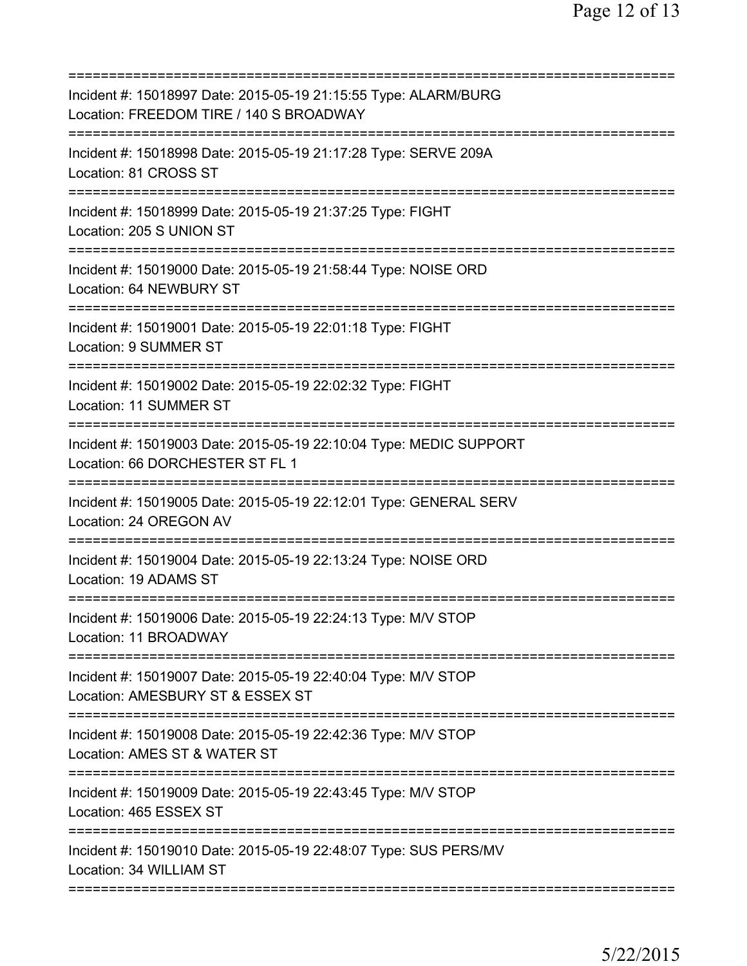| Incident #: 15018997 Date: 2015-05-19 21:15:55 Type: ALARM/BURG<br>Location: FREEDOM TIRE / 140 S BROADWAY    |
|---------------------------------------------------------------------------------------------------------------|
| Incident #: 15018998 Date: 2015-05-19 21:17:28 Type: SERVE 209A<br>Location: 81 CROSS ST                      |
| Incident #: 15018999 Date: 2015-05-19 21:37:25 Type: FIGHT<br>Location: 205 S UNION ST                        |
| Incident #: 15019000 Date: 2015-05-19 21:58:44 Type: NOISE ORD<br>Location: 64 NEWBURY ST                     |
| Incident #: 15019001 Date: 2015-05-19 22:01:18 Type: FIGHT<br>Location: 9 SUMMER ST                           |
| Incident #: 15019002 Date: 2015-05-19 22:02:32 Type: FIGHT<br><b>Location: 11 SUMMER ST</b>                   |
| Incident #: 15019003 Date: 2015-05-19 22:10:04 Type: MEDIC SUPPORT<br>Location: 66 DORCHESTER ST FL 1         |
| Incident #: 15019005 Date: 2015-05-19 22:12:01 Type: GENERAL SERV<br>Location: 24 OREGON AV                   |
| Incident #: 15019004 Date: 2015-05-19 22:13:24 Type: NOISE ORD<br>Location: 19 ADAMS ST<br>================== |
| Incident #: 15019006 Date: 2015-05-19 22:24:13 Type: M/V STOP<br>Location: 11 BROADWAY                        |
| Incident #: 15019007 Date: 2015-05-19 22:40:04 Type: M/V STOP<br>Location: AMESBURY ST & ESSEX ST             |
| Incident #: 15019008 Date: 2015-05-19 22:42:36 Type: M/V STOP<br>Location: AMES ST & WATER ST                 |
| Incident #: 15019009 Date: 2015-05-19 22:43:45 Type: M/V STOP<br>Location: 465 ESSEX ST                       |
| Incident #: 15019010 Date: 2015-05-19 22:48:07 Type: SUS PERS/MV<br>Location: 34 WILLIAM ST                   |
|                                                                                                               |